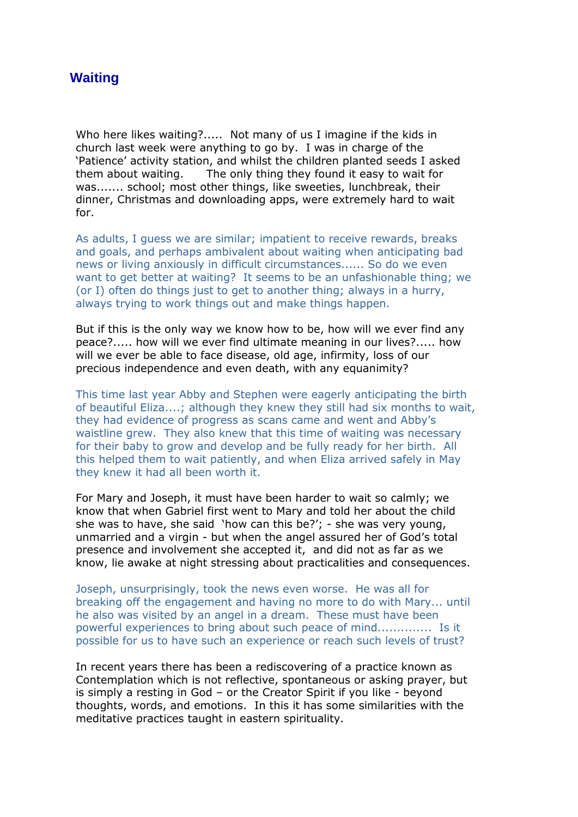## **Waiting**

Who here likes waiting?..... Not many of us I imagine if the kids in church last week were anything to go by. I was in charge of the 'Patience' activity station, and whilst the children planted seeds I asked them about waiting. The only thing they found it easy to wait for was....... school; most other things, like sweeties, lunchbreak, their dinner, Christmas and downloading apps, were extremely hard to wait for.

As adults, I guess we are similar; impatient to receive rewards, breaks and goals, and perhaps ambivalent about waiting when anticipating bad news or living anxiously in difficult circumstances...... So do we even want to get better at waiting? It seems to be an unfashionable thing; we (or I) often do things just to get to another thing; always in a hurry, always trying to work things out and make things happen.

But if this is the only way we know how to be, how will we ever find any peace?..... how will we ever find ultimate meaning in our lives?..... how will we ever be able to face disease, old age, infirmity, loss of our precious independence and even death, with any equanimity?

This time last year Abby and Stephen were eagerly anticipating the birth of beautiful Eliza....; although they knew they still had six months to wait, they had evidence of progress as scans came and went and Abby's waistline grew. They also knew that this time of waiting was necessary for their baby to grow and develop and be fully ready for her birth. All this helped them to wait patiently, and when Eliza arrived safely in May they knew it had all been worth it.

For Mary and Joseph, it must have been harder to wait so calmly; we know that when Gabriel first went to Mary and told her about the child she was to have, she said 'how can this be?'; - she was very young, unmarried and a virgin - but when the angel assured her of God's total presence and involvement she accepted it, and did not as far as we know, lie awake at night stressing about practicalities and consequences.

Joseph, unsurprisingly, took the news even worse. He was all for breaking off the engagement and having no more to do with Mary... until he also was visited by an angel in a dream. These must have been powerful experiences to bring about such peace of mind.............. Is it possible for us to have such an experience or reach such levels of trust?

In recent years there has been a rediscovering of a practice known as Contemplation which is not reflective, spontaneous or asking prayer, but is simply a resting in God – or the Creator Spirit if you like - beyond thoughts, words, and emotions. In this it has some similarities with the meditative practices taught in eastern spirituality.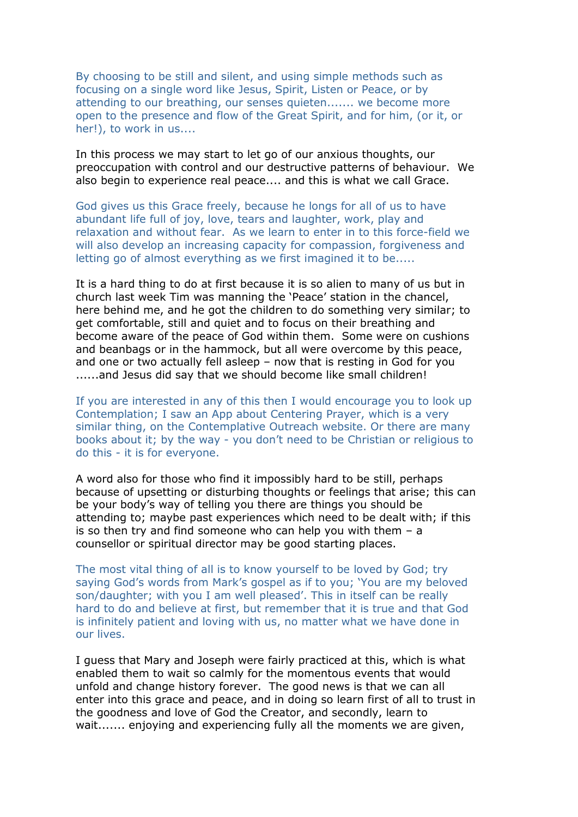By choosing to be still and silent, and using simple methods such as focusing on a single word like Jesus, Spirit, Listen or Peace, or by attending to our breathing, our senses quieten....... we become more open to the presence and flow of the Great Spirit, and for him, (or it, or her!), to work in us....

In this process we may start to let go of our anxious thoughts, our preoccupation with control and our destructive patterns of behaviour. We also begin to experience real peace.... and this is what we call Grace.

God gives us this Grace freely, because he longs for all of us to have abundant life full of joy, love, tears and laughter, work, play and relaxation and without fear. As we learn to enter in to this force-field we will also develop an increasing capacity for compassion, forgiveness and letting go of almost everything as we first imagined it to be.....

It is a hard thing to do at first because it is so alien to many of us but in church last week Tim was manning the 'Peace' station in the chancel, here behind me, and he got the children to do something very similar; to get comfortable, still and quiet and to focus on their breathing and become aware of the peace of God within them. Some were on cushions and beanbags or in the hammock, but all were overcome by this peace, and one or two actually fell asleep – now that is resting in God for you ......and Jesus did say that we should become like small children!

If you are interested in any of this then I would encourage you to look up Contemplation; I saw an App about Centering Prayer, which is a very similar thing, on the Contemplative Outreach website. Or there are many books about it; by the way - you don't need to be Christian or religious to do this - it is for everyone.

A word also for those who find it impossibly hard to be still, perhaps because of upsetting or disturbing thoughts or feelings that arise; this can be your body's way of telling you there are things you should be attending to; maybe past experiences which need to be dealt with; if this is so then try and find someone who can help you with them – a counsellor or spiritual director may be good starting places.

The most vital thing of all is to know yourself to be loved by God; try saying God's words from Mark's gospel as if to you; 'You are my beloved son/daughter; with you I am well pleased'. This in itself can be really hard to do and believe at first, but remember that it is true and that God is infinitely patient and loving with us, no matter what we have done in our lives.

I guess that Mary and Joseph were fairly practiced at this, which is what enabled them to wait so calmly for the momentous events that would unfold and change history forever. The good news is that we can all enter into this grace and peace, and in doing so learn first of all to trust in the goodness and love of God the Creator, and secondly, learn to wait....... enjoying and experiencing fully all the moments we are given,